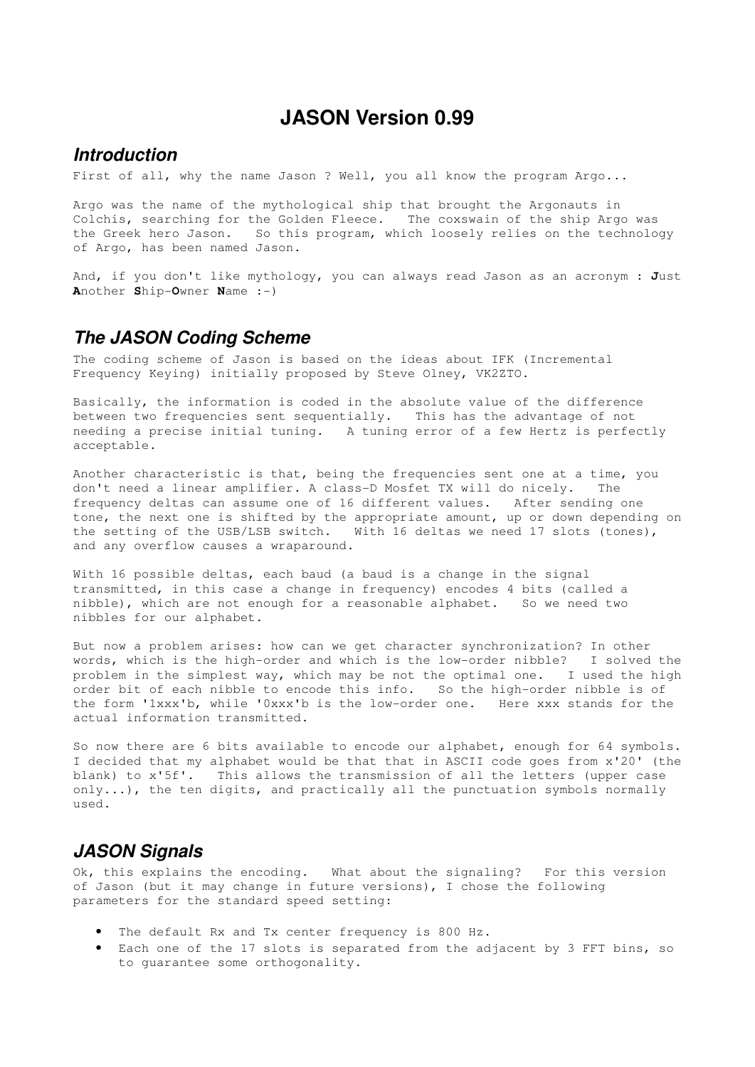# **JASON Version 0.99**

#### **Introduction**

First of all, why the name Jason ? Well, you all know the program Argo...

Argo was the name of the mythological ship that brought the Argonauts in Colchis, searching for the Golden Fleece. The coxswain of the ship Argo was the Greek hero Jason. So this program, which loosely relies on the technology of Argo, has been named Jason.

And, if you don't like mythology, you can always read Jason as an acronym : **J**ust **A**nother **S**hip-**O**wner **N**ame :-)

#### **The JASON Coding Scheme**

The coding scheme of Jason is based on the ideas about IFK (Incremental Frequency Keying) initially proposed by Steve Olney, VK2ZTO.

Basically, the information is coded in the absolute value of the difference between two frequencies sent sequentially. This has the advantage of not needing a precise initial tuning. A tuning error of a few Hertz is perfectly acceptable.

Another characteristic is that, being the frequencies sent one at a time, you don't need a linear amplifier. A class-D Mosfet TX will do nicely. The frequency deltas can assume one of 16 different values. After sending one tone, the next one is shifted by the appropriate amount, up or down depending on the setting of the USB/LSB switch. With 16 deltas we need 17 slots (tones), and any overflow causes a wraparound.

With 16 possible deltas, each baud (a baud is a change in the signal transmitted, in this case a change in frequency) encodes 4 bits (called a nibble), which are not enough for a reasonable alphabet. So we need two nibbles for our alphabet.

But now a problem arises: how can we get character synchronization? In other words, which is the high-order and which is the low-order nibble? I solved the problem in the simplest way, which may be not the optimal one. I used the high order bit of each nibble to encode this info. So the high-order nibble is of the form '1xxx'b, while '0xxx'b is the low-order one. Here xxx stands for the actual information transmitted.

So now there are 6 bits available to encode our alphabet, enough for 64 symbols. I decided that my alphabet would be that that in ASCII code goes from x'20' (the blank) to x'5f'. This allows the transmission of all the letters (upper case  $only...$ , the ten digits, and practically all the punctuation symbols normally used.

### **JASON Signals**

Ok, this explains the encoding. What about the signaling? For this version of Jason (but it may change in future versions), I chose the following parameters for the standard speed setting:

- The default Rx and Tx center frequency is 800 Hz.
- Each one of the 17 slots is separated from the adjacent by 3 FFT bins, so to guarantee some orthogonality.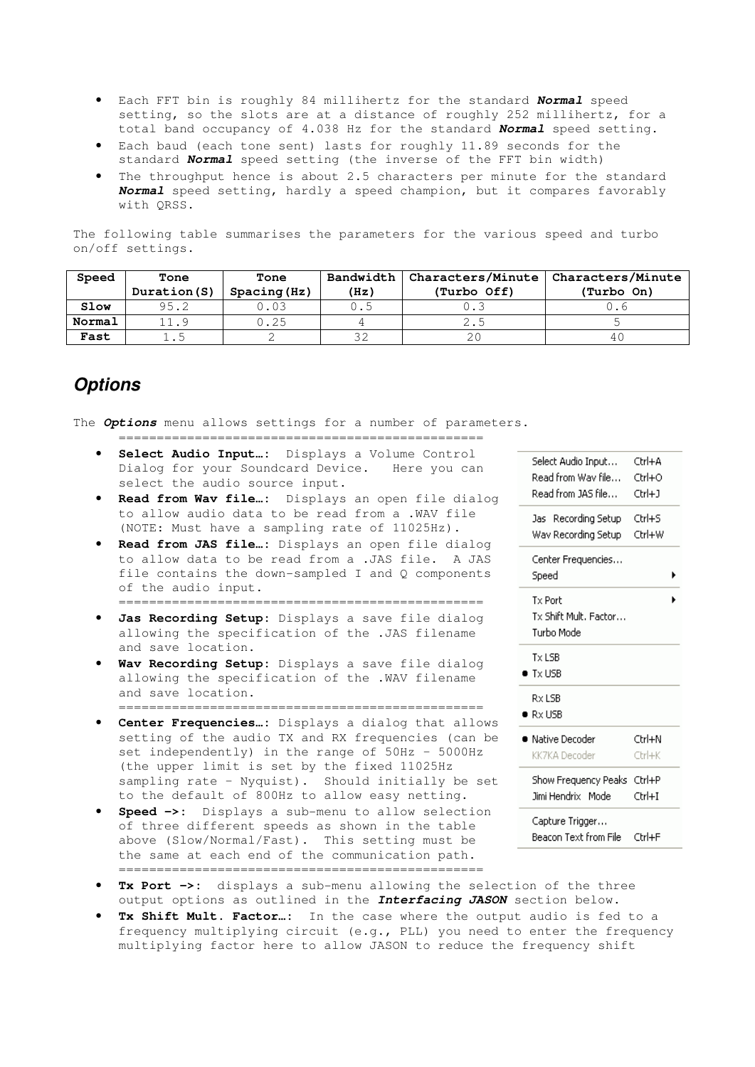- Each FFT bin is roughly 84 millihertz for the standard **Normal** speed setting, so the slots are at a distance of roughly 252 millihertz, for a total band occupancy of 4.038 Hz for the standard **Normal** speed setting.
- Each baud (each tone sent) lasts for roughly 11.89 seconds for the standard **Normal** speed setting (the inverse of the FFT bin width)
- The throughput hence is about 2.5 characters per minute for the standard **Normal** speed setting, hardly a speed champion, but it compares favorably with QRSS.

The following table summarises the parameters for the various speed and turbo on/off settings.

| Speed  | Tone         | Tone         | Bandwidth | Characters/Minute | Characters/Minute |  |
|--------|--------------|--------------|-----------|-------------------|-------------------|--|
|        | Duration (S) | Spaceing(Hz) | (Hz)      | (Turbo Off)       | (Turbo On)        |  |
| Slow   | 95.2         | J.O3         | 0.5       |                   |                   |  |
| Normal |              | 0.25         |           | 2.5               |                   |  |
| Fast   |              |              |           |                   | 4 (               |  |

# **Options**

The **Options** menu allows settings for a number of parameters. ================================================

- Select Audio Input...: Displays a Volume Control Dialog for your Soundcard Device. Here you can select the audio source input.
- **Read from Wav file…:** Displays an open file dialog to allow audio data to be read from a .WAV file (NOTE: Must have a sampling rate of 11025Hz).
- **Read from JAS file…:** Displays an open file dialog to allow data to be read from a .JAS file. A JAS file contains the down-sampled I and Q components of the audio input. ================================================
- **Jas Recording Setup:** Displays a save file dialog allowing the specification of the .JAS filename and save location.
- **Wav Recording Setup:** Displays a save file dialog allowing the specification of the .WAV filename and save location. ================================================
- **Center Frequencies…:** Displays a dialog that allows setting of the audio TX and RX frequencies (can be set independently) in the range of 50Hz – 5000Hz (the upper limit is set by the fixed 11025Hz sampling rate – Nyquist). Should initially be set to the default of 800Hz to allow easy netting.
- **Speed ->:** Displays a sub-menu to allow selection of three different speeds as shown in the table above (Slow/Normal/Fast). This setting must be the same at each end of the communication path. ================================================

| Select Audio Input           | Ctrl+A     |
|------------------------------|------------|
| Read from Way file           | Ctrl+O     |
| Read from JAS file           | $Ctrl + 1$ |
| Jas Recording Setup          | Ctrl+S     |
| Wav Recording Setup Ctrl+W   |            |
| Center Frequencies           |            |
| Speed                        |            |
| <b>Tx Port</b>               |            |
| Tx Shift Mult. Factor        |            |
| Turbo Mode                   |            |
| Tx LSB                       |            |
| Tx USB                       |            |
| Rx LSB                       |            |
| Rx USB                       |            |
| Mative Decoder               | Ctrl+N     |
| KK7KA Decoder                | Ctrl+K     |
| Show Frequency Peaks Ctrl+P  |            |
| Jimi Hendrix Mode            | Ctrl+I     |
| Capture Trigger              |            |
| Beacon Text from File (trl+F |            |
|                              |            |

- **Tx Port ->:** displays a sub-menu allowing the selection of the three output options as outlined in the **Interfacing JASON** section below.
- **Tx Shift Mult. Factor…:** In the case where the output audio is fed to a frequency multiplying circuit (e.g., PLL) you need to enter the frequency multiplying factor here to allow JASON to reduce the frequency shift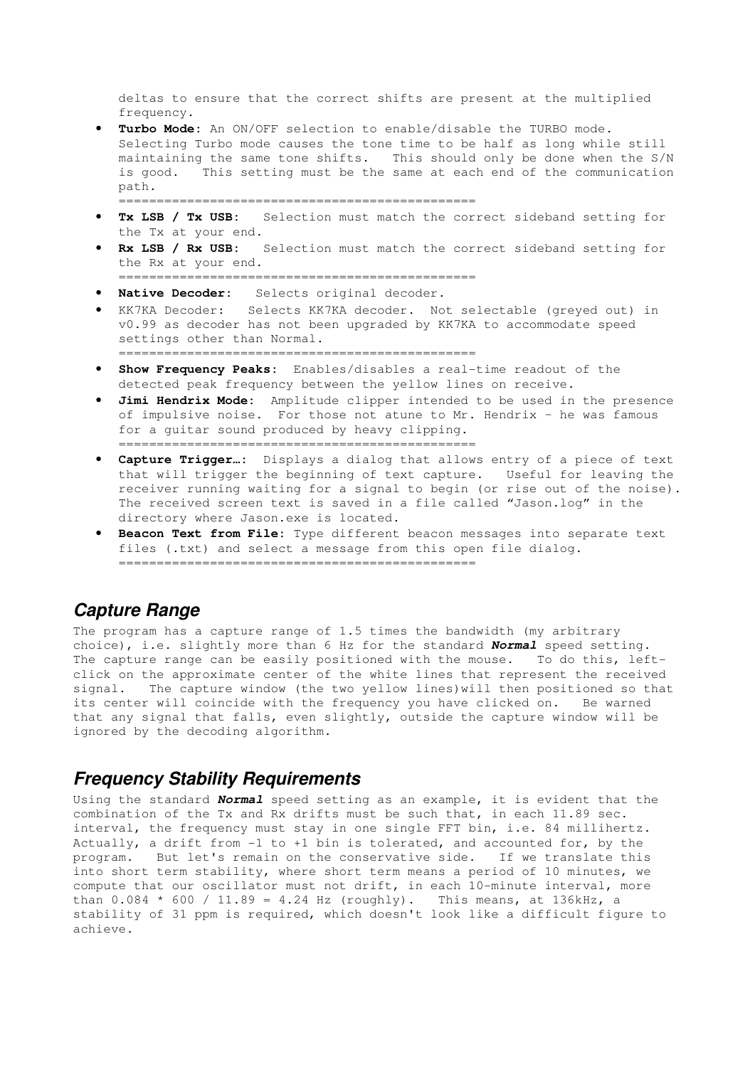deltas to ensure that the correct shifts are present at the multiplied frequency.

- **Turbo Mode:** An ON/OFF selection to enable/disable the TURBO mode. Selecting Turbo mode causes the tone time to be half as long while still maintaining the same tone shifts. This should only be done when the S/N is good. This setting must be the same at each end of the communication path.
- ===============================================
- **Tx LSB / Tx USB:** Selection must match the correct sideband setting for the Tx at your end.
- **Rx LSB / Rx USB:** Selection must match the correct sideband setting for the Rx at your end.

===============================================

- **Native Decoder:** Selects original decoder.
- KK7KA Decoder: Selects KK7KA decoder. Not selectable (greyed out) in v0.99 as decoder has not been upgraded by KK7KA to accommodate speed settings other than Normal. ===============================================
- **Show Frequency Peaks:** Enables/disables a real-time readout of the detected peak frequency between the yellow lines on receive.
- **Jimi Hendrix Mode:** Amplitude clipper intended to be used in the presence of impulsive noise. For those not atune to Mr. Hendrix – he was famous for a guitar sound produced by heavy clipping. ===============================================
- **Capture Trigger…:** Displays a dialog that allows entry of a piece of text that will trigger the beginning of text capture. Useful for leaving the receiver running waiting for a signal to begin (or rise out of the noise). The received screen text is saved in a file called "Jason.log" in the directory where Jason.exe is located.
- **Beacon Text from File:** Type different beacon messages into separate text files (.txt) and select a message from this open file dialog. ===============================================

# **Capture Range**

The program has a capture range of 1.5 times the bandwidth (my arbitrary choice), i.e. slightly more than 6 Hz for the standard **Normal** speed setting. The capture range can be easily positioned with the mouse. To do this, leftclick on the approximate center of the white lines that represent the received signal. The capture window (the two yellow lines)will then positioned so that its center will coincide with the frequency you have clicked on. Be warned that any signal that falls, even slightly, outside the capture window will be ignored by the decoding algorithm.

### **Frequency Stability Requirements**

Using the standard **Normal** speed setting as an example, it is evident that the combination of the Tx and Rx drifts must be such that, in each 11.89 sec. interval, the frequency must stay in one single FFT bin, i.e. 84 millihertz. Actually, a drift from -1 to +1 bin is tolerated, and accounted for, by the program. But let's remain on the conservative side. If we translate this into short term stability, where short term means a period of 10 minutes, we compute that our oscillator must not drift, in each 10-minute interval, more than  $0.084 * 600 / 11.89 = 4.24 Hz$  (roughly). This means, at 136kHz, a stability of 31 ppm is required, which doesn't look like a difficult figure to achieve.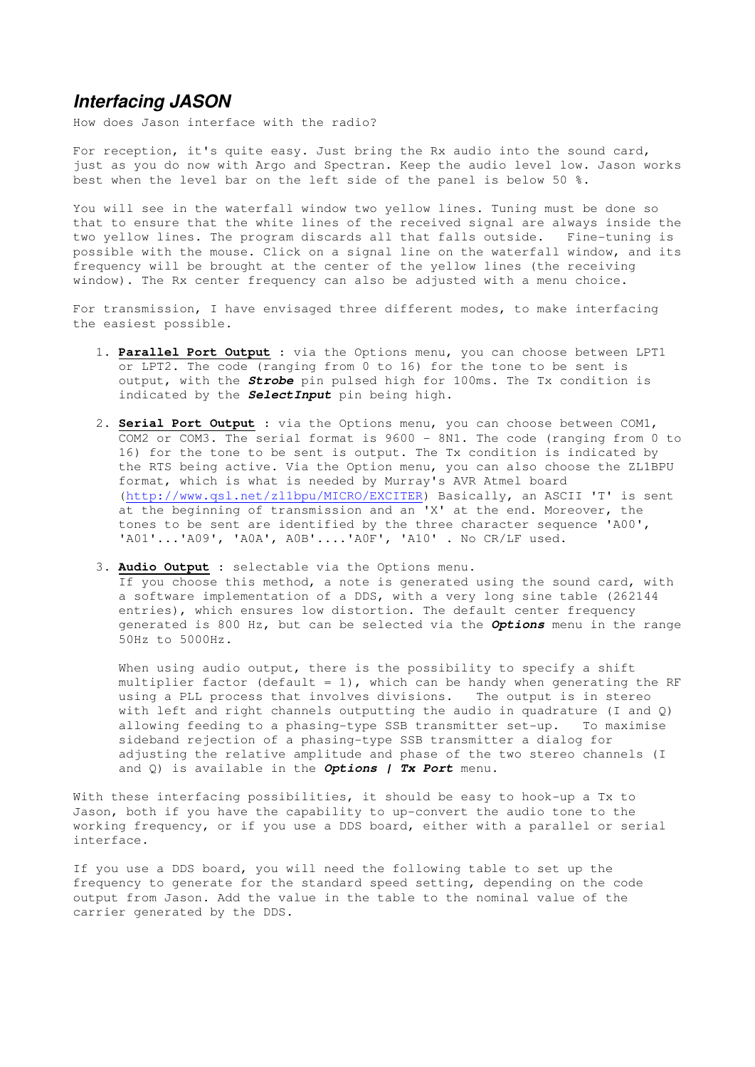### **Interfacing JASON**

How does Jason interface with the radio?

For reception, it's quite easy. Just bring the Rx audio into the sound card, just as you do now with Argo and Spectran. Keep the audio level low. Jason works best when the level bar on the left side of the panel is below 50 %.

You will see in the waterfall window two yellow lines. Tuning must be done so that to ensure that the white lines of the received signal are always inside the two yellow lines. The program discards all that falls outside. Fine-tuning is possible with the mouse. Click on a signal line on the waterfall window, and its frequency will be brought at the center of the yellow lines (the receiving window). The Rx center frequency can also be adjusted with a menu choice.

For transmission, I have envisaged three different modes, to make interfacing the easiest possible.

- 1. **Parallel Port Output** : via the Options menu, you can choose between LPT1 or LPT2. The code (ranging from 0 to 16) for the tone to be sent is output, with the **Strobe** pin pulsed high for 100ms. The Tx condition is indicated by the **SelectInput** pin being high.
- 2. **Serial Port Output** : via the Options menu, you can choose between COM1, COM2 or COM3. The serial format is 9600 - 8N1. The code (ranging from 0 to 16) for the tone to be sent is output. The Tx condition is indicated by the RTS being active. Via the Option menu, you can also choose the ZL1BPU format, which is what is needed by Murray's AVR Atmel board (http://www.qsl.net/zl1bpu/MICRO/EXCITER) Basically, an ASCII 'T' is sent at the beginning of transmission and an 'X' at the end. Moreover, the tones to be sent are identified by the three character sequence 'A00', 'A01'...'A09', 'A0A', A0B'....'A0F', 'A10' . No CR/LF used.
- 3. **Audio Output** : selectable via the Options menu. If you choose this method, a note is generated using the sound card, with a software implementation of a DDS, with a very long sine table (262144 entries), which ensures low distortion. The default center frequency generated is 800 Hz, but can be selected via the **Options** menu in the range 50Hz to 5000Hz.

When using audio output, there is the possibility to specify a shift multiplier factor (default = 1), which can be handy when generating the RF using a PLL process that involves divisions. The output is in stereo with left and right channels outputting the audio in quadrature (I and Q) allowing feeding to a phasing-type SSB transmitter set-up. To maximise sideband rejection of a phasing-type SSB transmitter a dialog for adjusting the relative amplitude and phase of the two stereo channels (I and Q) is available in the **Options | Tx Port** menu.

With these interfacing possibilities, it should be easy to hook-up a Tx to Jason, both if you have the capability to up-convert the audio tone to the working frequency, or if you use a DDS board, either with a parallel or serial interface.

If you use a DDS board, you will need the following table to set up the frequency to generate for the standard speed setting, depending on the code output from Jason. Add the value in the table to the nominal value of the carrier generated by the DDS.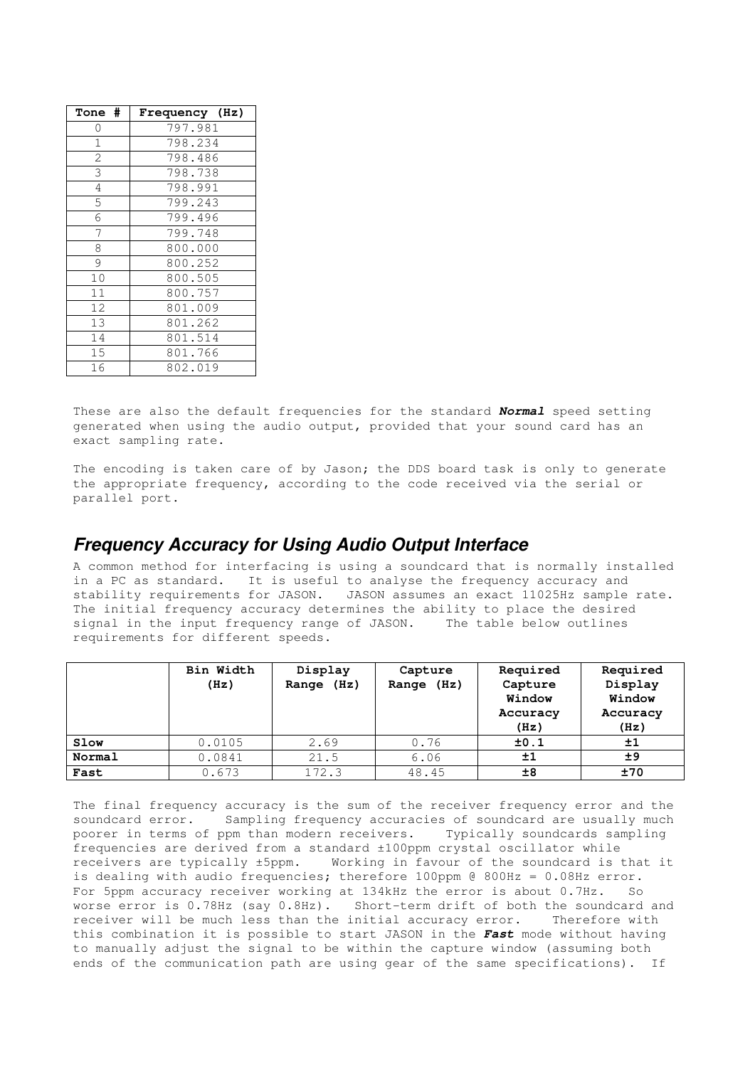| <b>Tone #</b>  | <b>Frequency (Hz)</b> |  |  |  |
|----------------|-----------------------|--|--|--|
| 0              | 797.981               |  |  |  |
| 1              | 798.234               |  |  |  |
| $\overline{2}$ | 798.486               |  |  |  |
| 3              | 798.738               |  |  |  |
| 4              | 798.991               |  |  |  |
| 5              | 799.243               |  |  |  |
| 6              | 799.496               |  |  |  |
| 7              | 799.748               |  |  |  |
| 8              | 800.000               |  |  |  |
| 9              | 800.252               |  |  |  |
| 10             | 800.505               |  |  |  |
| 11             | 800.757               |  |  |  |
| 12             | 801.009               |  |  |  |
| 13             | 801.262               |  |  |  |
| 14             | 801.514               |  |  |  |
| 15             | 801.766               |  |  |  |
| 16             | 802.019               |  |  |  |

These are also the default frequencies for the standard **Normal** speed setting generated when using the audio output, provided that your sound card has an exact sampling rate.

The encoding is taken care of by Jason; the DDS board task is only to generate the appropriate frequency, according to the code received via the serial or parallel port.

## **Frequency Accuracy for Using Audio Output Interface**

A common method for interfacing is using a soundcard that is normally installed in a PC as standard. It is useful to analyse the frequency accuracy and stability requirements for JASON. JASON assumes an exact 11025Hz sample rate. The initial frequency accuracy determines the ability to place the desired signal in the input frequency range of JASON. The table below outlines requirements for different speeds.

|        | Bin Width<br>(Hz) | Display<br>(Hz)<br>Range | Capture<br>(Hz)<br>Range | Required<br>Capture<br>Window<br>Accuracy<br>(Hz) | Required<br>Display<br>Window<br>Accuracy<br>(Hz) |
|--------|-------------------|--------------------------|--------------------------|---------------------------------------------------|---------------------------------------------------|
| Slow   | 0.0105            | 2.69                     | 0.76                     | ±0.1                                              | ±1                                                |
| Normal | 0.0841            | 21.5                     | 6.06                     | ±1                                                | ±9                                                |
| Fast   | 0.673             | 172.3                    | 48.45                    | ±8                                                | ±70                                               |

The final frequency accuracy is the sum of the receiver frequency error and the soundcard error. Sampling frequency accuracies of soundcard are usually much poorer in terms of ppm than modern receivers. Typically soundcards sampling frequencies are derived from a standard ±100ppm crystal oscillator while receivers are typically ±5ppm. Working in favour of the soundcard is that it is dealing with audio frequencies; therefore 100ppm @ 800Hz = 0.08Hz error. For 5ppm accuracy receiver working at 134kHz the error is about 0.7Hz. So worse error is 0.78Hz (say 0.8Hz). Short-term drift of both the soundcard and receiver will be much less than the initial accuracy error. Therefore with this combination it is possible to start JASON in the **Fast** mode without having to manually adjust the signal to be within the capture window (assuming both ends of the communication path are using gear of the same specifications). If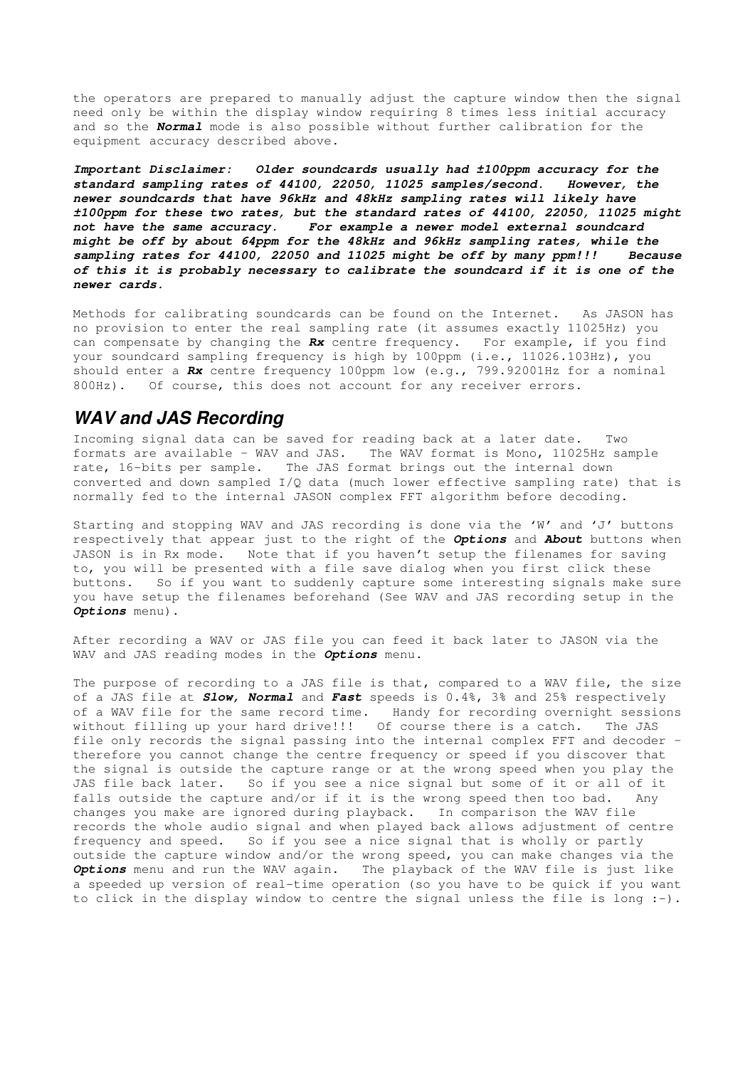the operators are prepared to manually adjust the capture window then the signal need only be within the display window requiring 8 times less initial accuracy and so the **Normal** mode is also possible without further calibration for the equipment accuracy described above.

**Important Disclaimer: Older soundcards usually had ±100ppm accuracy for the standard sampling rates of 44100, 22050, 11025 samples/second. However, the newer soundcards that have 96kHz and 48kHz sampling rates will likely have ±100ppm for these two rates, but the standard rates of 44100, 22050, 11025 might not have the same accuracy. For example a newer model external soundcard might be off by about 64ppm for the 48kHz and 96kHz sampling rates, while the sampling rates for 44100, 22050 and 11025 might be off by many ppm!!! Because of this it is probably necessary to calibrate the soundcard if it is one of the newer cards.** 

Methods for calibrating soundcards can be found on the Internet. As JASON has no provision to enter the real sampling rate (it assumes exactly 11025Hz) you can compensate by changing the **Rx** centre frequency. For example, if you find your soundcard sampling frequency is high by 100ppm (i.e., 11026.103Hz), you should enter a **Rx** centre frequency 100ppm low (e.g., 799.92001Hz for a nominal 800Hz). Of course, this does not account for any receiver errors.

#### **WAV and JAS Recording**

Incoming signal data can be saved for reading back at a later date. Two formats are available – WAV and JAS. The WAV format is Mono, 11025Hz sample rate, 16-bits per sample. The JAS format brings out the internal down converted and down sampled I/Q data (much lower effective sampling rate) that is normally fed to the internal JASON complex FFT algorithm before decoding.

Starting and stopping WAV and JAS recording is done via the 'W' and 'J' buttons respectively that appear just to the right of the **Options** and **About** buttons when JASON is in Rx mode. Note that if you haven't setup the filenames for saving to, you will be presented with a file save dialog when you first click these buttons. So if you want to suddenly capture some interesting signals make sure you have setup the filenames beforehand (See WAV and JAS recording setup in the **Options** menu).

After recording a WAV or JAS file you can feed it back later to JASON via the WAV and JAS reading modes in the **Options** menu.

The purpose of recording to a JAS file is that, compared to a WAV file, the size of a JAS file at **Slow, Normal** and **Fast** speeds is 0.4%, 3% and 25% respectively of a WAV file for the same record time. Handy for recording overnight sessions without filling up your hard drive!!! Of course there is a catch. The JAS file only records the signal passing into the internal complex FFT and decoder – therefore you cannot change the centre frequency or speed if you discover that the signal is outside the capture range or at the wrong speed when you play the JAS file back later. So if you see a nice signal but some of it or all of it falls outside the capture and/or if it is the wrong speed then too bad. Any changes you make are ignored during playback. In comparison the WAV file records the whole audio signal and when played back allows adjustment of centre frequency and speed. So if you see a nice signal that is wholly or partly outside the capture window and/or the wrong speed, you can make changes via the **Options** menu and run the WAV again. The playback of the WAV file is just like a speeded up version of real-time operation (so you have to be quick if you want to click in the display window to centre the signal unless the file is long :-).